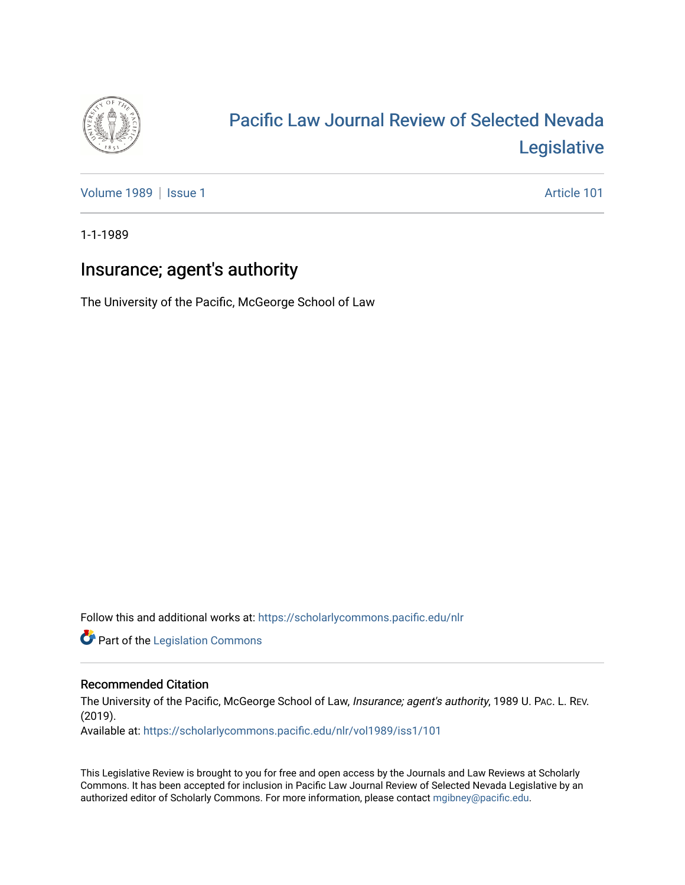

# [Pacific Law Journal Review of Selected Nevada](https://scholarlycommons.pacific.edu/nlr)  [Legislative](https://scholarlycommons.pacific.edu/nlr)

[Volume 1989](https://scholarlycommons.pacific.edu/nlr/vol1989) | [Issue 1](https://scholarlycommons.pacific.edu/nlr/vol1989/iss1) Article 101

1-1-1989

# Insurance; agent's authority

The University of the Pacific, McGeorge School of Law

Follow this and additional works at: [https://scholarlycommons.pacific.edu/nlr](https://scholarlycommons.pacific.edu/nlr?utm_source=scholarlycommons.pacific.edu%2Fnlr%2Fvol1989%2Fiss1%2F101&utm_medium=PDF&utm_campaign=PDFCoverPages) 

**Part of the [Legislation Commons](http://network.bepress.com/hgg/discipline/859?utm_source=scholarlycommons.pacific.edu%2Fnlr%2Fvol1989%2Fiss1%2F101&utm_medium=PDF&utm_campaign=PDFCoverPages)** 

## Recommended Citation

The University of the Pacific, McGeorge School of Law, Insurance; agent's authority, 1989 U. PAC. L. REV. (2019).

Available at: [https://scholarlycommons.pacific.edu/nlr/vol1989/iss1/101](https://scholarlycommons.pacific.edu/nlr/vol1989/iss1/101?utm_source=scholarlycommons.pacific.edu%2Fnlr%2Fvol1989%2Fiss1%2F101&utm_medium=PDF&utm_campaign=PDFCoverPages) 

This Legislative Review is brought to you for free and open access by the Journals and Law Reviews at Scholarly Commons. It has been accepted for inclusion in Pacific Law Journal Review of Selected Nevada Legislative by an authorized editor of Scholarly Commons. For more information, please contact [mgibney@pacific.edu](mailto:mgibney@pacific.edu).